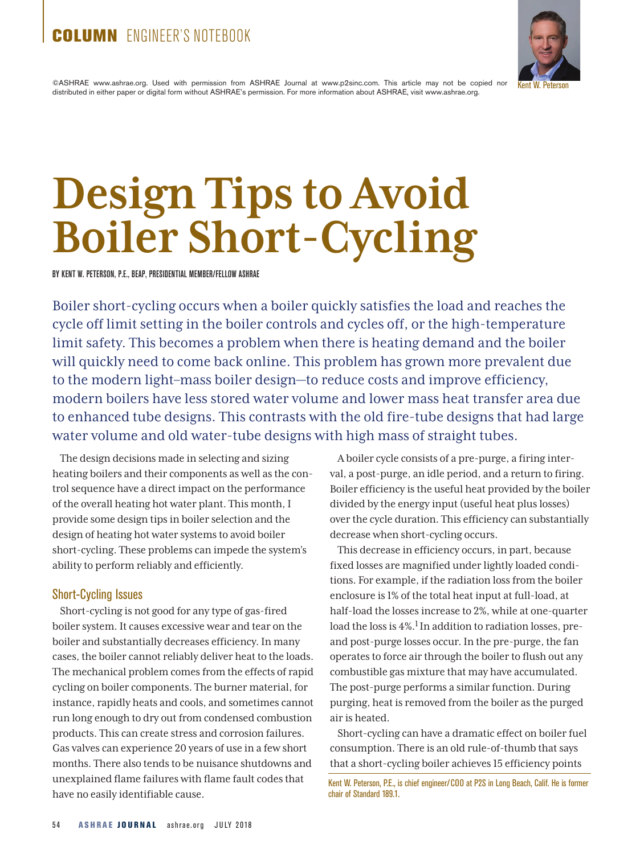# COLUMN FNGINFER'S NOTEBOOK



©ASHRAE www.ashrae.org. Used with permission from ASHRAE Journal at www.p2sinc.com. This article may not be copied nor distributed in either paper or digital form without ASHRAE's permission. For more information about ASHRAE, visit www.ashrae.org.

# **Design Tips to Avoid Boiler Short-Cycling**

BY KENT W. PETERSON, P.E., BEAP, PRESIDENTIAL MEMBER/FELLOW ASHRAE

Boiler short-cycling occurs when a boiler quickly satisfies the load and reaches the cycle off limit setting in the boiler controls and cycles off, or the high-temperature limit safety. This becomes a problem when there is heating demand and the boiler will quickly need to come back online. This problem has grown more prevalent due to the modern light–mass boiler design—to reduce costs and improve efficiency, modern boilers have less stored water volume and lower mass heat transfer area due to enhanced tube designs. This contrasts with the old fire-tube designs that had large water volume and old water-tube designs with high mass of straight tubes.

The design decisions made in selecting and sizing heating boilers and their components as well as the control sequence have a direct impact on the performance of the overall heating hot water plant. This month, I provide some design tips in boiler selection and the design of heating hot water systems to avoid boiler short-cycling. These problems can impede the system's ability to perform reliably and efficiently.

# Short-Cycling Issues

Short-cycling is not good for any type of gas-fired boiler system. It causes excessive wear and tear on the boiler and substantially decreases efficiency. In many cases, the boiler cannot reliably deliver heat to the loads. The mechanical problem comes from the effects of rapid cycling on boiler components. The burner material, for instance, rapidly heats and cools, and sometimes cannot run long enough to dry out from condensed combustion products. This can create stress and corrosion failures. Gas valves can experience 20 years of use in a few short months. There also tends to be nuisance shutdowns and unexplained flame failures with flame fault codes that have no easily identifiable cause.

A boiler cycle consists of a pre-purge, a firing interval, a post-purge, an idle period, and a return to firing. Boiler efficiency is the useful heat provided by the boiler divided by the energy input (useful heat plus losses) over the cycle duration. This efficiency can substantially decrease when short-cycling occurs.

This decrease in efficiency occurs, in part, because fixed losses are magnified under lightly loaded conditions. For example, if the radiation loss from the boiler enclosure is 1% of the total heat input at full-load, at half-load the losses increase to 2%, while at one-quarter load the loss is  $4\%$ .<sup>1</sup> In addition to radiation losses, preand post-purge losses occur. In the pre-purge, the fan operates to force air through the boiler to flush out any combustible gas mixture that may have accumulated. The post-purge performs a similar function. During purging, heat is removed from the boiler as the purged air is heated.

Short-cycling can have a dramatic effect on boiler fuel consumption. There is an old rule-of-thumb that says that a short-cycling boiler achieves 15 efficiency points

Kent W. Peterson, P.E., is chief engineer/COO at P2S in Long Beach, Calif. He is former chair of Standard 189.1.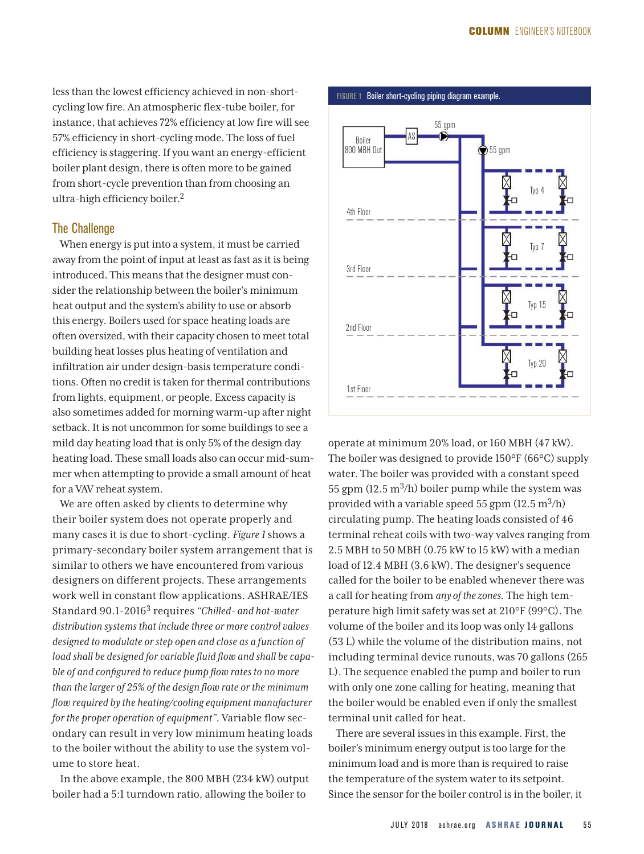less than the lowest efficiency achieved in non-shortcycling low fire. An atmospheric flex-tube boiler, for instance, that achieves 72% efficiency at low fire will see 57% efficiency in short-cycling mode. The loss of fuel efficiency is staggering. If you want an energy-efficient boiler plant design, there is often more to be gained from short-cycle prevention than from choosing an ultra-high efficiency boiler.2

# The Challenge

When energy is put into a system, it must be carried away from the point of input at least as fast as it is being introduced. This means that the designer must consider the relationship between the boiler's minimum heat output and the system's ability to use or absorb this energy. Boilers used for space heating loads are often oversized, with their capacity chosen to meet total building heat losses plus heating of ventilation and infiltration air under design-basis temperature conditions. Often no credit is taken for thermal contributions from lights, equipment, or people. Excess capacity is also sometimes added for morning warm-up after night setback. It is not uncommon for some buildings to see a mild day heating load that is only 5% of the design day heating load. These small loads also can occur mid-summer when attempting to provide a small amount of heat for a VAV reheat system.

We are often asked by clients to determine why their boiler system does not operate properly and many cases it is due to short-cycling. *Figure 1* shows a primary-secondary boiler system arrangement that is similar to others we have encountered from various designers on different projects. These arrangements work well in constant flow applications. ASHRAE/IES Standard 90.1-20163 requires *"Chilled- and hot-water distribution systems that include three or more control valves designed to modulate or step open and close as a function of load shall be designed for variable fluid flow and shall be capable of and configured to reduce pump flow rates to no more than the larger of 25% of the design flow rate or the minimum flow required by the heating/cooling equipment manufacturer for the proper operation of equipment".* Variable flow secondary can result in very low minimum heating loads to the boiler without the ability to use the system volume to store heat.

In the above example, the 800 MBH (234 kW) output boiler had a 5:1 turndown ratio, allowing the boiler to



operate at minimum 20% load, or 160 MBH (47 kW). The boiler was designed to provide 150°F (66°C) supply water. The boiler was provided with a constant speed 55 gpm  $(12.5 \text{ m}^3/\text{h})$  boiler pump while the system was provided with a variable speed 55 gpm  $(12.5 \text{ m}^3/\text{h})$ circulating pump. The heating loads consisted of 46 terminal reheat coils with two-way valves ranging from 2.5 MBH to 50 MBH (0.75 kW to 15 kW) with a median load of 12.4 MBH (3.6 kW). The designer's sequence called for the boiler to be enabled whenever there was a call for heating from *any of the zones.* The high temperature high limit safety was set at 210°F (99°C). The volume of the boiler and its loop was only 14 gallons (53 L) while the volume of the distribution mains, not including terminal device runouts, was 70 gallons (265 L). The sequence enabled the pump and boiler to run with only one zone calling for heating, meaning that the boiler would be enabled even if only the smallest terminal unit called for heat.

There are several issues in this example. First, the boiler's minimum energy output is too large for the minimum load and is more than is required to raise the temperature of the system water to its setpoint. Since the sensor for the boiler control is in the boiler, it

#### FIGURE 1 Boiler short-cycling piping diagram example.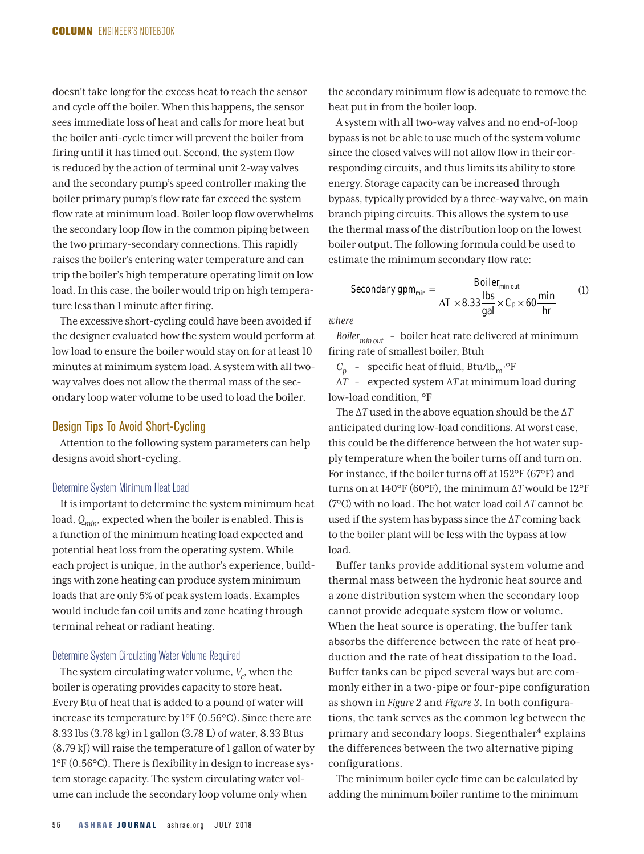doesn't take long for the excess heat to reach the sensor and cycle off the boiler. When this happens, the sensor sees immediate loss of heat and calls for more heat but the boiler anti-cycle timer will prevent the boiler from firing until it has timed out. Second, the system flow is reduced by the action of terminal unit 2-way valves and the secondary pump's speed controller making the boiler primary pump's flow rate far exceed the system flow rate at minimum load. Boiler loop flow overwhelms the secondary loop flow in the common piping between the two primary-secondary connections. This rapidly raises the boiler's entering water temperature and can trip the boiler's high temperature operating limit on low load. In this case, the boiler would trip on high temperature less than 1 minute after firing.

The excessive short-cycling could have been avoided if the designer evaluated how the system would perform at low load to ensure the boiler would stay on for at least 10 minutes at minimum system load. A system with all twoway valves does not allow the thermal mass of the secondary loop water volume to be used to load the boiler.

# Design Tips To Avoid Short-Cycling

Attention to the following system parameters can help designs avoid short-cycling.

# Determine System Minimum Heat Load

It is important to determine the system minimum heat load, *Qmin*, expected when the boiler is enabled. This is a function of the minimum heating load expected and potential heat loss from the operating system. While each project is unique, in the author's experience, buildings with zone heating can produce system minimum loads that are only 5% of peak system loads. Examples would include fan coil units and zone heating through terminal reheat or radiant heating.

#### Determine System Circulating Water Volume Required

The system circulating water volume,  $V_c$ , when the boiler is operating provides capacity to store heat. Every Btu of heat that is added to a pound of water will increase its temperature by 1°F (0.56°C). Since there are 8.33 lbs (3.78 kg) in 1 gallon (3.78 L) of water, 8.33 Btus (8.79 kJ) will raise the temperature of 1 gallon of water by 1°F (0.56°C). There is flexibility in design to increase system storage capacity. The system circulating water volume can include the secondary loop volume only when

the secondary minimum flow is adequate to remove the heat put in from the boiler loop.

A system with all two-way valves and no end-of-loop bypass is not be able to use much of the system volume since the closed valves will not allow flow in their corresponding circuits, and thus limits its ability to store energy. Storage capacity can be increased through bypass, typically provided by a three-way valve, on main branch piping circuits. This allows the system to use the thermal mass of the distribution loop on the lowest boiler output. The following formula could be used to estimate the minimum secondary flow rate:

$$
Secondary\ gpm_{min} = \frac{Boiler_{min\ out}}{\Delta T \times 8.33 \frac{\text{ lbs}}{\text{gal}} \times C_P \times 60 \frac{\text{min}}{\text{hr}}} \tag{1}
$$

*where*

*Boilermin out* = boiler heat rate delivered at minimum firing rate of smallest boiler, Btuh

 $C_p$  = specific heat of fluid, Btu/lb<sub>m</sub>.<sup>o</sup>F

∆*T* = expected system ∆*T* at minimum load during low-load condition, °F

The ∆*T* used in the above equation should be the ∆*T* anticipated during low-load conditions. At worst case, this could be the difference between the hot water supply temperature when the boiler turns off and turn on. For instance, if the boiler turns off at 152°F (67°F) and turns on at 140°F (60°F), the minimum ∆*T* would be 12°F (7°C) with no load. The hot water load coil ∆*T* cannot be used if the system has bypass since the ∆*T* coming back to the boiler plant will be less with the bypass at low load.

Buffer tanks provide additional system volume and thermal mass between the hydronic heat source and a zone distribution system when the secondary loop cannot provide adequate system flow or volume. When the heat source is operating, the buffer tank absorbs the difference between the rate of heat production and the rate of heat dissipation to the load. Buffer tanks can be piped several ways but are commonly either in a two-pipe or four-pipe configuration as shown in *Figure 2* and *Figure 3*. In both configurations, the tank serves as the common leg between the primary and secondary loops. Siegenthaler<sup>4</sup> explains the differences between the two alternative piping configurations.

The minimum boiler cycle time can be calculated by adding the minimum boiler runtime to the minimum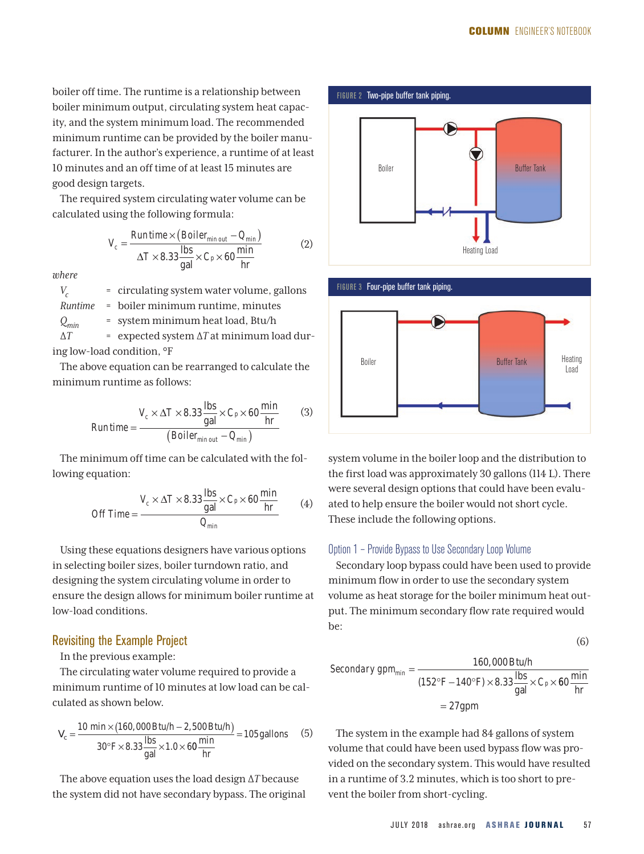boiler off time. The runtime is a relationship between boiler minimum output, circulating system heat capacity, and the system minimum load. The recommended minimum runtime can be provided by the boiler manufacturer. In the author's experience, a runtime of at least 10 minutes and an off time of at least 15 minutes are good design targets.

The required system circulating water volume can be calculated using the following formula:

$$
V_c = \frac{Runtime \times (Boiler_{min out} - Q_{min})}{\Delta T \times 8.33 \frac{\text{ lbs}}{\text{gal}} \times C_P \times 60 \frac{\text{min}}{\text{hr}}}
$$
(2)

*where*

*V<sub>c</sub>* = circulating system water volume, gallons *Runtime* = boiler minimum runtime, minutes *Qmin* = system minimum heat load, Btu/h ∆*T* = expected system ∆*T* at minimum load during low-load condition, °F

The above equation can be rearranged to calculate the minimum runtime as follows:

$$
Run time = \frac{V_c \times \Delta T \times 8.33 \frac{\text{lbs}}{\text{gal}} \times C_p \times 60 \frac{\text{min}}{\text{hr}}}{(Boiler_{min out} - Q_{min})}
$$
(3)

The minimum off time can be calculated with the following equation:

$$
Off Time = \frac{V_c \times \Delta T \times 8.33 \frac{\text{lbs}}{\text{gal}} \times C_p \times 60 \frac{\text{min}}{\text{hr}}}{Q_{min}} \tag{4}
$$

Using these equations designers have various options in selecting boiler sizes, boiler turndown ratio, and designing the system circulating volume in order to ensure the design allows for minimum boiler runtime at low-load conditions.

#### Revisiting the Example Project

# In the previous example:

The circulating water volume required to provide a minimum runtime of 10 minutes at low load can be calculated as shown below.

$$
V_c = \frac{10 \text{ min} \times (160,000 \text{ Btu/h} - 2,500 \text{ Btu/h})}{30^{\circ} \text{F} \times 8.33 \frac{\text{ lbs}}{\text{gal}} \times 1.0 \times 60 \frac{\text{min}}{\text{hr}}} = 105 \text{ gallons} \tag{5}
$$

The above equation uses the load design ∆*T* because the system did not have secondary bypass. The original





system volume in the boiler loop and the distribution to the first load was approximately 30 gallons (114 L). There were several design options that could have been evaluated to help ensure the boiler would not short cycle. These include the following options.

#### Option 1 – Provide Bypass to Use Secondary Loop Volume

Secondary loop bypass could have been used to provide minimum flow in order to use the secondary system volume as heat storage for the boiler minimum heat output. The minimum secondary flow rate required would be:

$$
(6)
$$

$$
Secondary\ gpm_{min} = \frac{160,000\ Btu/h}{(152^{\circ}\text{F} - 140^{\circ}\text{F}) \times 8.33 \frac{\text{lbs}}{\text{gal}} \times C_P \times 60 \frac{\text{min}}{\text{hr}}}
$$

$$
= 27 \text{gpm}
$$

The system in the example had 84 gallons of system volume that could have been used bypass flow was provided on the secondary system. This would have resulted in a runtime of 3.2 minutes, which is too short to prevent the boiler from short-cycling.